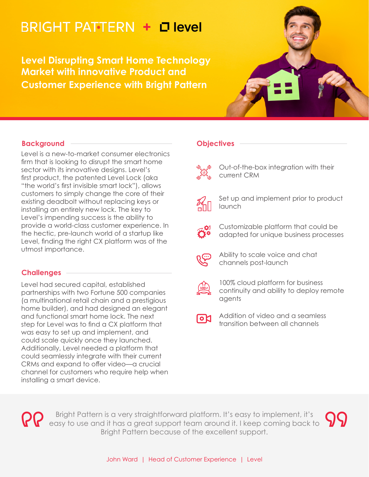# **BRIGHT PATTERN + D level**

**Level Disrupting Smart Home Technology Market with innovative Product and Customer Experience with Bright Pattern**



## **Background**

Level is a new-to-market consumer electronics firm that is looking to disrupt the smart home sector with its innovative designs. Level's first product, the patented Level Lock (aka "the world's first invisible smart lock"), allows customers to simply change the core of their existing deadbolt without replacing keys or installing an entirely new lock. The key to Level's impending success is the ability to provide a world-class customer experience. In the hectic, pre-launch world of a startup like Level, finding the right CX platform was of the utmost importance.

## **Challenges**

Level had secured capital, established partnerships with two Fortune 500 companies (a multinational retail chain and a prestigious home builder), and had designed an elegant and functional smart home lock. The next step for Level was to find a CX platform that was easy to set up and implement, and could scale quickly once they launched. Additionally, Level needed a platform that could seamlessly integrate with their current CRMs and expand to offer video—a crucial channel for customers who require help when installing a smart device.

## **Objectives**

Out-of-the-box integration with their current CRM



Set up and implement prior to product launch



Customizable platform that could be adapted for unique business processes



Ability to scale voice and chat channels post-launch



100% cloud platform for business continuity and ability to deploy remote agents



Addition of video and a seamless transition between all channels

Bright Pattern is a very straightforward platform. It's easy to implement, it's easy to use and it has a great support team around it. I keep coming back to Bright Pattern because of the excellent support.